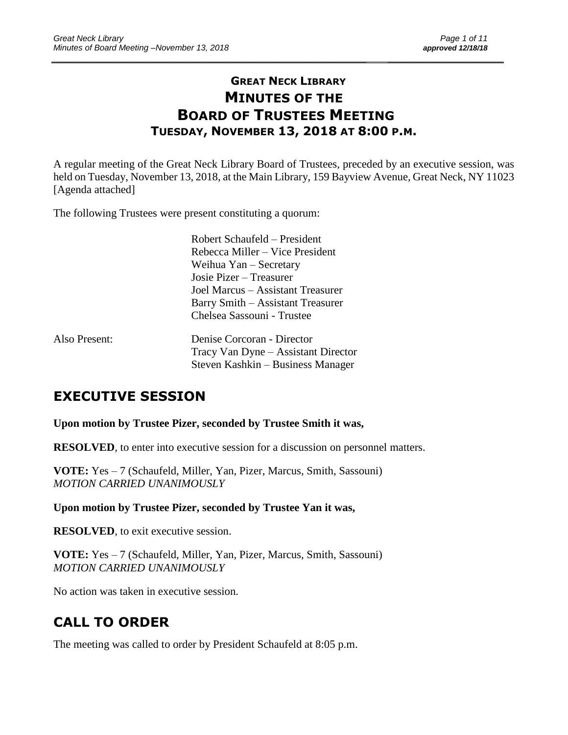# **GREAT NECK LIBRARY MINUTES OF THE BOARD OF TRUSTEES MEETING TUESDAY, NOVEMBER 13, 2018 AT 8:00 P.M.**

\_\_\_\_\_\_\_\_\_\_\_\_\_\_\_\_\_\_\_\_\_\_\_\_\_\_\_\_\_\_\_\_\_\_\_\_\_\_\_\_\_\_\_\_\_\_\_\_\_\_\_\_\_\_\_\_\_\_\_\_\_\_\_\_\_\_\_\_ \_\_\_\_\_\_\_\_\_\_\_\_\_\_\_\_\_\_\_\_\_\_\_\_\_

A regular meeting of the Great Neck Library Board of Trustees, preceded by an executive session, was held on Tuesday, November 13, 2018, at the Main Library, 159 Bayview Avenue, Great Neck, NY 11023 [Agenda attached]

The following Trustees were present constituting a quorum:

|               | Robert Schaufeld – President        |
|---------------|-------------------------------------|
|               | Rebecca Miller – Vice President     |
|               | Weihua $Yan -$ Secretary            |
|               | Josie Pizer – Treasurer             |
|               | Joel Marcus – Assistant Treasurer   |
|               | Barry Smith – Assistant Treasurer   |
|               | Chelsea Sassouni - Trustee          |
| Also Present: | Denise Corcoran - Director          |
|               | Tracy Van Dyne – Assistant Director |
|               | Steven Kashkin – Business Manager   |

# **EXECUTIVE SESSION**

**Upon motion by Trustee Pizer, seconded by Trustee Smith it was,**

**RESOLVED**, to enter into executive session for a discussion on personnel matters.

**VOTE:** Yes – 7 (Schaufeld, Miller, Yan, Pizer, Marcus, Smith, Sassouni) *MOTION CARRIED UNANIMOUSLY*

**Upon motion by Trustee Pizer, seconded by Trustee Yan it was,**

**RESOLVED**, to exit executive session.

**VOTE:** Yes – 7 (Schaufeld, Miller, Yan, Pizer, Marcus, Smith, Sassouni) *MOTION CARRIED UNANIMOUSLY*

No action was taken in executive session.

# **CALL TO ORDER**

The meeting was called to order by President Schaufeld at 8:05 p.m.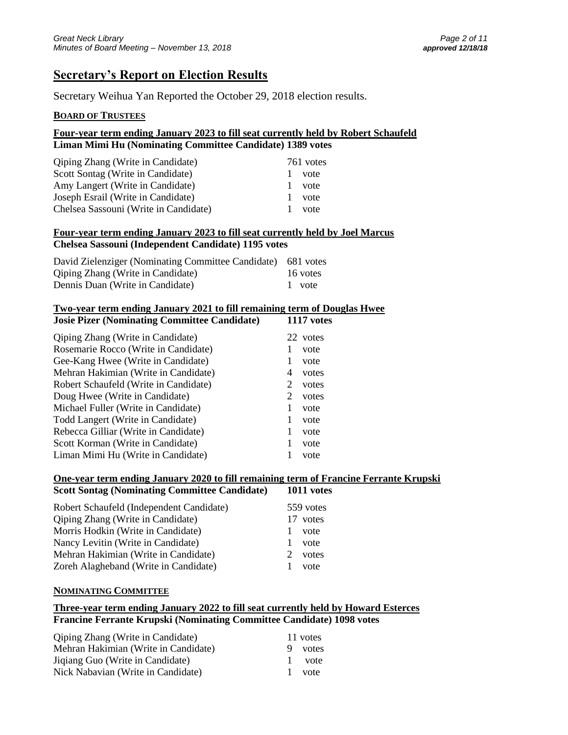## **Secretary's Report on Election Results**

Secretary Weihua Yan Reported the October 29, 2018 election results.

#### **BOARD OF TRUSTEES**

#### **Four-year term ending January 2023 to fill seat currently held by Robert Schaufeld Liman Mimi Hu (Nominating Committee Candidate) 1389 votes**

| <b>Qiping Zhang (Write in Candidate)</b> | 761 votes |
|------------------------------------------|-----------|
| Scott Sontag (Write in Candidate)        | vote      |
| Amy Langert (Write in Candidate)         | vote      |
| Joseph Esrail (Write in Candidate)       | vote      |
| Chelsea Sassouni (Write in Candidate)    | vote      |

#### **Four-year term ending January 2023 to fill seat currently held by Joel Marcus Chelsea Sassouni (Independent Candidate) 1195 votes**

| David Zielenziger (Nominating Committee Candidate) 681 votes |          |
|--------------------------------------------------------------|----------|
| <b>Qiping Zhang (Write in Candidate)</b>                     | 16 votes |
| Dennis Duan (Write in Candidate)                             | 1 vote   |

#### **Two-year term ending January 2021 to fill remaining term of Douglas Hwee Josie Pizer (Nominating Committee Candidate) 1117 votes**

| <b>Qiping Zhang (Write in Candidate)</b> |   | 22 votes |
|------------------------------------------|---|----------|
| Rosemarie Rocco (Write in Candidate)     |   | vote     |
| Gee-Kang Hwee (Write in Candidate)       | 1 | vote     |
| Mehran Hakimian (Write in Candidate)     | 4 | votes    |
| Robert Schaufeld (Write in Candidate)    | 2 | votes    |
| Doug Hwee (Write in Candidate)           | 2 | votes    |
| Michael Fuller (Write in Candidate)      | 1 | vote     |
| Todd Langert (Write in Candidate)        | 1 | vote     |
| Rebecca Gilliar (Write in Candidate)     | 1 | vote     |
| Scott Korman (Write in Candidate)        | 1 | vote     |
| Liman Mimi Hu (Write in Candidate)       |   | vote     |

#### **One-year term ending January 2020 to fill remaining term of Francine Ferrante Krupski**

| <b>Scott Sontag (Nominating Committee Candidate)</b> | 1011 votes                     |
|------------------------------------------------------|--------------------------------|
| Robert Schaufeld (Independent Candidate)             | 559 votes                      |
| <b>Qiping Zhang (Write in Candidate)</b>             | 17 votes                       |
| Morris Hodkin (Write in Candidate)                   | vote                           |
| Nancy Levitin (Write in Candidate)                   | vote                           |
| Mehran Hakimian (Write in Candidate)                 | votes<br>$\mathcal{D}_{\cdot}$ |
| Zoreh Alagheband (Write in Candidate)                | vote                           |

#### **NOMINATING COMMITTEE**

#### **Three-year term ending January 2022 to fill seat currently held by Howard Esterces Francine Ferrante Krupski (Nominating Committee Candidate) 1098 votes**

| <b>Qiping Zhang (Write in Candidate)</b> |              | 11 votes |
|------------------------------------------|--------------|----------|
| Mehran Hakimian (Write in Candidate)     | 9            | votes    |
| Jiqiang Guo (Write in Candidate)         |              | vote     |
| Nick Nabavian (Write in Candidate)       | $\mathbf{L}$ | vote     |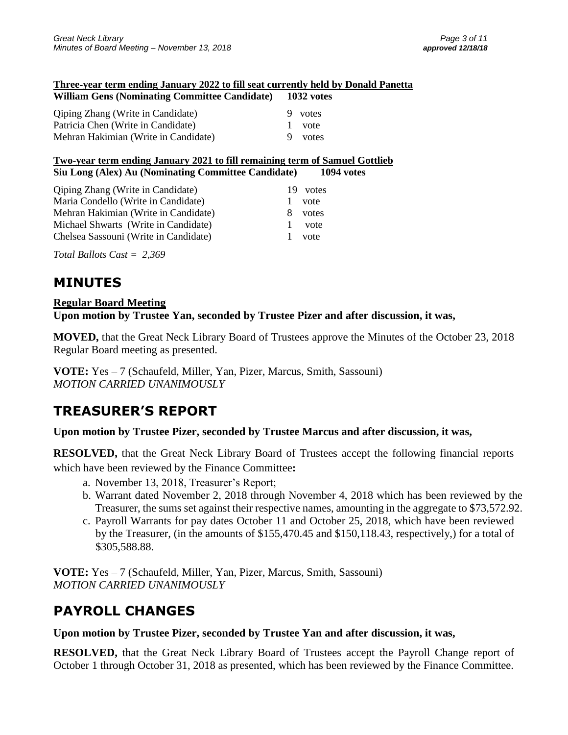#### **Three-year term ending January 2022 to fill seat currently held by Donald Panetta William Gens (Nominating Committee Candidate) 1032 votes**

| Whitain Gens (Nonnmating Committee Candidate) |  | <b>TOPS VOIC</b> |  |
|-----------------------------------------------|--|------------------|--|
| <b>Qiping Zhang (Write in Candidate)</b>      |  | 9 votes          |  |
| Patricia Chen (Write in Candidate)            |  | vote             |  |
| Mehran Hakimian (Write in Candidate)          |  | votes            |  |
|                                               |  |                  |  |

#### **Two-year term ending January 2021 to fill remaining term of Samuel Gottlieb Siu Long (Alex) Au (Nominating Committee Candidate) 1094 votes**

| <b>Qiping Zhang (Write in Candidate)</b><br>Maria Condello (Write in Candidate)<br>Mehran Hakimian (Write in Candidate)<br>Michael Shwarts (Write in Candidate)<br>Chelsea Sassouni (Write in Candidate) | 19<br>8<br>L.<br>Τ. | votes<br>vote<br>votes<br>vote<br>vote |
|----------------------------------------------------------------------------------------------------------------------------------------------------------------------------------------------------------|---------------------|----------------------------------------|
|                                                                                                                                                                                                          |                     |                                        |

*Total Ballots Cast = 2,369*

# **MINUTES**

### **Regular Board Meeting**

### **Upon motion by Trustee Yan, seconded by Trustee Pizer and after discussion, it was,**

**MOVED,** that the Great Neck Library Board of Trustees approve the Minutes of the October 23, 2018 Regular Board meeting as presented.

**VOTE:** Yes – 7 (Schaufeld, Miller, Yan, Pizer, Marcus, Smith, Sassouni) *MOTION CARRIED UNANIMOUSLY*

# **TREASURER'S REPORT**

### **Upon motion by Trustee Pizer, seconded by Trustee Marcus and after discussion, it was,**

**RESOLVED,** that the Great Neck Library Board of Trustees accept the following financial reports which have been reviewed by the Finance Committee**:** 

- a. November 13, 2018, Treasurer's Report;
- b. Warrant dated November 2, 2018 through November 4, 2018 which has been reviewed by the Treasurer, the sums set against their respective names, amounting in the aggregate to \$73,572.92.
- c. Payroll Warrants for pay dates October 11 and October 25, 2018, which have been reviewed by the Treasurer, (in the amounts of \$155,470.45 and \$150,118.43, respectively,) for a total of \$305,588.88.

**VOTE:** Yes – 7 (Schaufeld, Miller, Yan, Pizer, Marcus, Smith, Sassouni) *MOTION CARRIED UNANIMOUSLY*

# **PAYROLL CHANGES**

**Upon motion by Trustee Pizer, seconded by Trustee Yan and after discussion, it was,**

**RESOLVED,** that the Great Neck Library Board of Trustees accept the Payroll Change report of October 1 through October 31, 2018 as presented, which has been reviewed by the Finance Committee.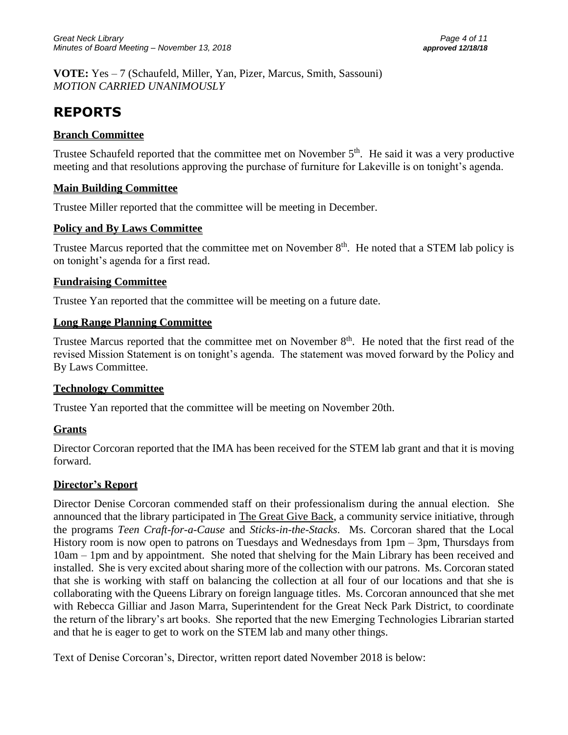**VOTE:** Yes – 7 (Schaufeld, Miller, Yan, Pizer, Marcus, Smith, Sassouni) *MOTION CARRIED UNANIMOUSLY*

# **REPORTS**

### **Branch Committee**

Trustee Schaufeld reported that the committee met on November  $5<sup>th</sup>$ . He said it was a very productive meeting and that resolutions approving the purchase of furniture for Lakeville is on tonight's agenda.

### **Main Building Committee**

Trustee Miller reported that the committee will be meeting in December.

### **Policy and By Laws Committee**

Trustee Marcus reported that the committee met on November 8<sup>th</sup>. He noted that a STEM lab policy is on tonight's agenda for a first read.

### **Fundraising Committee**

Trustee Yan reported that the committee will be meeting on a future date.

### **Long Range Planning Committee**

Trustee Marcus reported that the committee met on November  $8<sup>th</sup>$ . He noted that the first read of the revised Mission Statement is on tonight's agenda. The statement was moved forward by the Policy and By Laws Committee.

### **Technology Committee**

Trustee Yan reported that the committee will be meeting on November 20th.

### **Grants**

Director Corcoran reported that the IMA has been received for the STEM lab grant and that it is moving forward.

### **Director's Report**

Director Denise Corcoran commended staff on their professionalism during the annual election. She announced that the library participated in The Great Give Back, a community service initiative, through the programs *Teen Craft-for-a-Cause* and *Sticks-in-the-Stacks*. Ms. Corcoran shared that the Local History room is now open to patrons on Tuesdays and Wednesdays from 1pm – 3pm, Thursdays from 10am – 1pm and by appointment. She noted that shelving for the Main Library has been received and installed. She is very excited about sharing more of the collection with our patrons. Ms. Corcoran stated that she is working with staff on balancing the collection at all four of our locations and that she is collaborating with the Queens Library on foreign language titles. Ms. Corcoran announced that she met with Rebecca Gilliar and Jason Marra, Superintendent for the Great Neck Park District, to coordinate the return of the library's art books. She reported that the new Emerging Technologies Librarian started and that he is eager to get to work on the STEM lab and many other things.

Text of Denise Corcoran's, Director, written report dated November 2018 is below: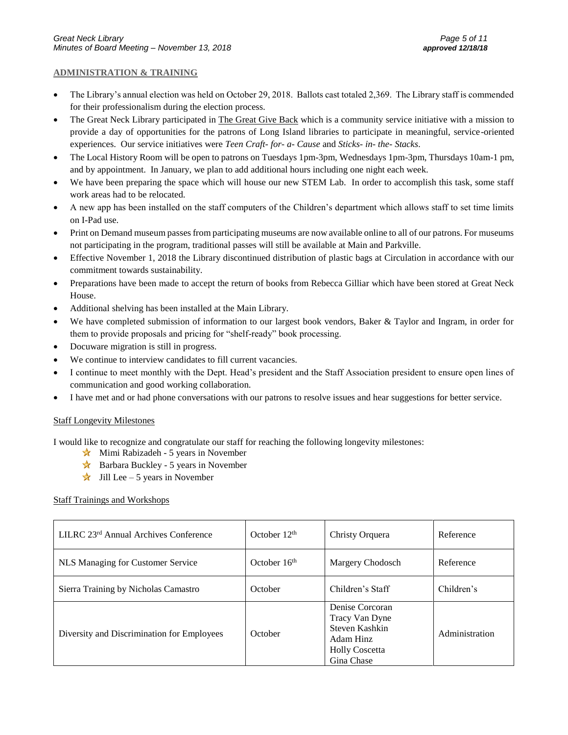#### **ADMINISTRATION & TRAINING**

- The Library's annual election was held on October 29, 2018. Ballots cast totaled 2,369. The Library staff is commended for their professionalism during the election process.
- The Great Neck Library participated in The Great Give Back which is a community service initiative with a mission to provide a day of opportunities for the patrons of Long Island libraries to participate in meaningful, service-oriented experiences. Our service initiatives were *Teen Craft- for- a- Cause* and *Sticks- in- the- Stacks*.
- The Local History Room will be open to patrons on Tuesdays 1pm-3pm, Wednesdays 1pm-3pm, Thursdays 10am-1 pm, and by appointment. In January, we plan to add additional hours including one night each week.
- We have been preparing the space which will house our new STEM Lab. In order to accomplish this task, some staff work areas had to be relocated.
- A new app has been installed on the staff computers of the Children's department which allows staff to set time limits on I-Pad use.
- Print on Demand museum passes from participating museums are now available online to all of our patrons. For museums not participating in the program, traditional passes will still be available at Main and Parkville.
- Effective November 1, 2018 the Library discontinued distribution of plastic bags at Circulation in accordance with our commitment towards sustainability.
- Preparations have been made to accept the return of books from Rebecca Gilliar which have been stored at Great Neck House.
- Additional shelving has been installed at the Main Library.
- We have completed submission of information to our largest book vendors, Baker & Taylor and Ingram, in order for them to provide proposals and pricing for "shelf-ready" book processing.
- Docuware migration is still in progress.
- We continue to interview candidates to fill current vacancies.
- I continue to meet monthly with the Dept. Head's president and the Staff Association president to ensure open lines of communication and good working collaboration.
- I have met and or had phone conversations with our patrons to resolve issues and hear suggestions for better service.

#### Staff Longevity Milestones

I would like to recognize and congratulate our staff for reaching the following longevity milestones:

- $\star$  Mimi Rabizadeh 5 years in November
- $\star$  Barbara Buckley 5 years in November
- $\star$  Jill Lee 5 years in November

#### Staff Trainings and Workshops

| LILRC 23 <sup>rd</sup> Annual Archives Conference | October $12th$ | Christy Orquera                                                                                         | Reference      |
|---------------------------------------------------|----------------|---------------------------------------------------------------------------------------------------------|----------------|
| NLS Managing for Customer Service                 | October $16th$ | Margery Chodosch                                                                                        | Reference      |
| Sierra Training by Nicholas Camastro              | October        | Children's Staff                                                                                        | Children's     |
| Diversity and Discrimination for Employees        | October        | Denise Corcoran<br>Tracy Van Dyne<br>Steven Kashkin<br>Adam Hinz<br><b>Holly Coscetta</b><br>Gina Chase | Administration |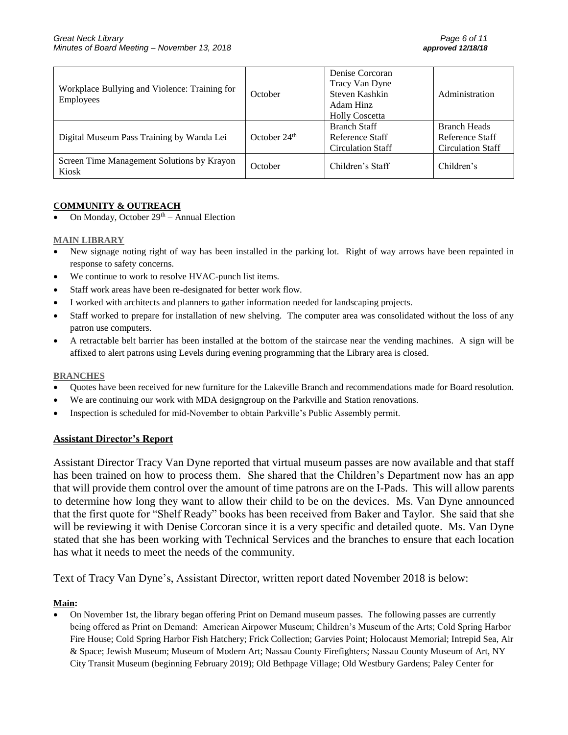| Workplace Bullying and Violence: Training for<br><b>Employees</b> | October        | Denise Corcoran<br>Tracy Van Dyne<br>Steven Kashkin<br>Adam Hinz<br><b>Holly Coscetta</b> | Administration                                                     |
|-------------------------------------------------------------------|----------------|-------------------------------------------------------------------------------------------|--------------------------------------------------------------------|
| Digital Museum Pass Training by Wanda Lei                         | October $24th$ | <b>Branch Staff</b><br>Reference Staff<br><b>Circulation Staff</b>                        | <b>Branch Heads</b><br>Reference Staff<br><b>Circulation Staff</b> |
| Screen Time Management Solutions by Krayon<br>Kiosk               | October        | Children's Staff                                                                          | Children's                                                         |

#### **COMMUNITY & OUTREACH**

On Monday, October  $29<sup>th</sup>$  – Annual Election

#### **MAIN LIBRARY**

- New signage noting right of way has been installed in the parking lot. Right of way arrows have been repainted in response to safety concerns.
- We continue to work to resolve HVAC-punch list items.
- Staff work areas have been re-designated for better work flow.
- I worked with architects and planners to gather information needed for landscaping projects.
- Staff worked to prepare for installation of new shelving. The computer area was consolidated without the loss of any patron use computers.
- A retractable belt barrier has been installed at the bottom of the staircase near the vending machines. A sign will be affixed to alert patrons using Levels during evening programming that the Library area is closed.

#### **BRANCHES**

- Quotes have been received for new furniture for the Lakeville Branch and recommendations made for Board resolution.
- We are continuing our work with MDA designgroup on the Parkville and Station renovations.
- Inspection is scheduled for mid-November to obtain Parkville's Public Assembly permit.

#### **Assistant Director's Report**

Assistant Director Tracy Van Dyne reported that virtual museum passes are now available and that staff has been trained on how to process them. She shared that the Children's Department now has an app that will provide them control over the amount of time patrons are on the I-Pads. This will allow parents to determine how long they want to allow their child to be on the devices. Ms. Van Dyne announced that the first quote for "Shelf Ready" books has been received from Baker and Taylor. She said that she will be reviewing it with Denise Corcoran since it is a very specific and detailed quote. Ms. Van Dyne stated that she has been working with Technical Services and the branches to ensure that each location has what it needs to meet the needs of the community.

Text of Tracy Van Dyne's, Assistant Director, written report dated November 2018 is below:

#### **Main:**

• On November 1st, the library began offering Print on Demand museum passes. The following passes are currently being offered as Print on Demand: American Airpower Museum; Children's Museum of the Arts; Cold Spring Harbor Fire House; Cold Spring Harbor Fish Hatchery; Frick Collection; Garvies Point; Holocaust Memorial; Intrepid Sea, Air & Space; Jewish Museum; Museum of Modern Art; Nassau County Firefighters; Nassau County Museum of Art, NY City Transit Museum (beginning February 2019); Old Bethpage Village; Old Westbury Gardens; Paley Center for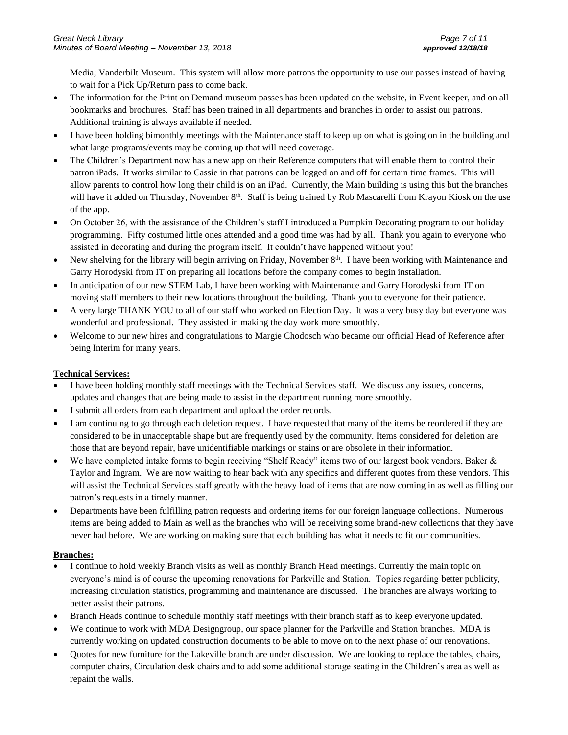Media; Vanderbilt Museum. This system will allow more patrons the opportunity to use our passes instead of having to wait for a Pick Up/Return pass to come back.

- The information for the Print on Demand museum passes has been updated on the website, in Event keeper, and on all bookmarks and brochures. Staff has been trained in all departments and branches in order to assist our patrons. Additional training is always available if needed.
- I have been holding bimonthly meetings with the Maintenance staff to keep up on what is going on in the building and what large programs/events may be coming up that will need coverage.
- The Children's Department now has a new app on their Reference computers that will enable them to control their patron iPads. It works similar to Cassie in that patrons can be logged on and off for certain time frames. This will allow parents to control how long their child is on an iPad. Currently, the Main building is using this but the branches will have it added on Thursday, November 8<sup>th</sup>. Staff is being trained by Rob Mascarelli from Krayon Kiosk on the use of the app.
- On October 26, with the assistance of the Children's staff I introduced a Pumpkin Decorating program to our holiday programming. Fifty costumed little ones attended and a good time was had by all. Thank you again to everyone who assisted in decorating and during the program itself. It couldn't have happened without you!
- New shelving for the library will begin arriving on Friday, November  $8<sup>th</sup>$ . I have been working with Maintenance and Garry Horodyski from IT on preparing all locations before the company comes to begin installation.
- In anticipation of our new STEM Lab, I have been working with Maintenance and Garry Horodyski from IT on moving staff members to their new locations throughout the building. Thank you to everyone for their patience.
- A very large THANK YOU to all of our staff who worked on Election Day. It was a very busy day but everyone was wonderful and professional. They assisted in making the day work more smoothly.
- Welcome to our new hires and congratulations to Margie Chodosch who became our official Head of Reference after being Interim for many years.

#### **Technical Services:**

- I have been holding monthly staff meetings with the Technical Services staff. We discuss any issues, concerns, updates and changes that are being made to assist in the department running more smoothly.
- I submit all orders from each department and upload the order records.
- I am continuing to go through each deletion request. I have requested that many of the items be reordered if they are considered to be in unacceptable shape but are frequently used by the community. Items considered for deletion are those that are beyond repair, have unidentifiable markings or stains or are obsolete in their information.
- We have completed intake forms to begin receiving "Shelf Ready" items two of our largest book vendors, Baker & Taylor and Ingram. We are now waiting to hear back with any specifics and different quotes from these vendors. This will assist the Technical Services staff greatly with the heavy load of items that are now coming in as well as filling our patron's requests in a timely manner.
- Departments have been fulfilling patron requests and ordering items for our foreign language collections. Numerous items are being added to Main as well as the branches who will be receiving some brand-new collections that they have never had before. We are working on making sure that each building has what it needs to fit our communities.

#### **Branches:**

- I continue to hold weekly Branch visits as well as monthly Branch Head meetings. Currently the main topic on everyone's mind is of course the upcoming renovations for Parkville and Station. Topics regarding better publicity, increasing circulation statistics, programming and maintenance are discussed. The branches are always working to better assist their patrons.
- Branch Heads continue to schedule monthly staff meetings with their branch staff as to keep everyone updated.
- We continue to work with MDA Designgroup, our space planner for the Parkville and Station branches. MDA is currently working on updated construction documents to be able to move on to the next phase of our renovations.
- Quotes for new furniture for the Lakeville branch are under discussion. We are looking to replace the tables, chairs, computer chairs, Circulation desk chairs and to add some additional storage seating in the Children's area as well as repaint the walls.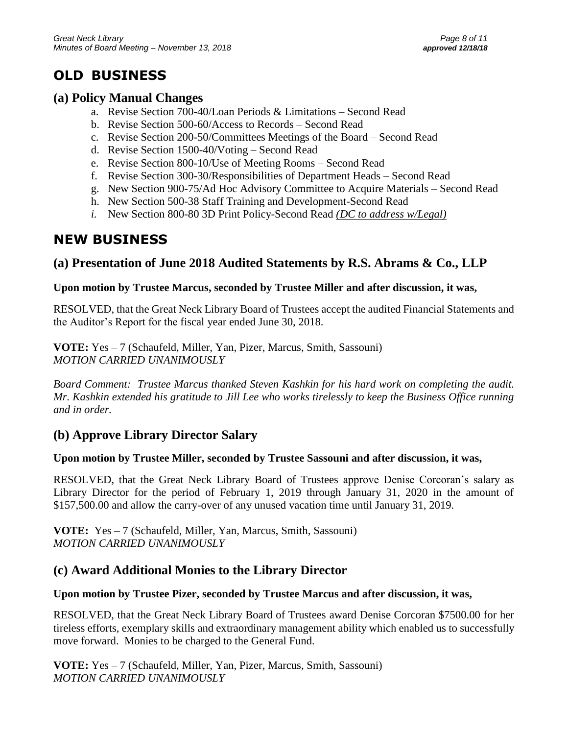# **OLD BUSINESS**

## **(a) Policy Manual Changes**

- a. Revise Section 700-40/Loan Periods & Limitations Second Read
- b. Revise Section 500-60/Access to Records Second Read
- c. Revise Section 200-50/Committees Meetings of the Board Second Read
- d. Revise Section 1500-40/Voting Second Read
- e. Revise Section 800-10/Use of Meeting Rooms Second Read
- f. Revise Section 300-30/Responsibilities of Department Heads Second Read
- g. New Section 900-75/Ad Hoc Advisory Committee to Acquire Materials Second Read
- h. New Section 500-38 Staff Training and Development-Second Read
- *i.* New Section 800-80 3D Print Policy-Second Read *(DC to address w/Legal)*

# **NEW BUSINESS**

# **(a) Presentation of June 2018 Audited Statements by R.S. Abrams & Co., LLP**

## **Upon motion by Trustee Marcus, seconded by Trustee Miller and after discussion, it was,**

RESOLVED, that the Great Neck Library Board of Trustees accept the audited Financial Statements and the Auditor's Report for the fiscal year ended June 30, 2018.

**VOTE:** Yes – 7 (Schaufeld, Miller, Yan, Pizer, Marcus, Smith, Sassouni) *MOTION CARRIED UNANIMOUSLY*

*Board Comment: Trustee Marcus thanked Steven Kashkin for his hard work on completing the audit. Mr. Kashkin extended his gratitude to Jill Lee who works tirelessly to keep the Business Office running and in order.*

# **(b) Approve Library Director Salary**

### **Upon motion by Trustee Miller, seconded by Trustee Sassouni and after discussion, it was,**

RESOLVED, that the Great Neck Library Board of Trustees approve Denise Corcoran's salary as Library Director for the period of February 1, 2019 through January 31, 2020 in the amount of \$157,500.00 and allow the carry-over of any unused vacation time until January 31, 2019.

**VOTE:** Yes – 7 (Schaufeld, Miller, Yan, Marcus, Smith, Sassouni) *MOTION CARRIED UNANIMOUSLY*

# **(c) Award Additional Monies to the Library Director**

## **Upon motion by Trustee Pizer, seconded by Trustee Marcus and after discussion, it was,**

RESOLVED, that the Great Neck Library Board of Trustees award Denise Corcoran \$7500.00 for her tireless efforts, exemplary skills and extraordinary management ability which enabled us to successfully move forward. Monies to be charged to the General Fund.

**VOTE:** Yes – 7 (Schaufeld, Miller, Yan, Pizer, Marcus, Smith, Sassouni) *MOTION CARRIED UNANIMOUSLY*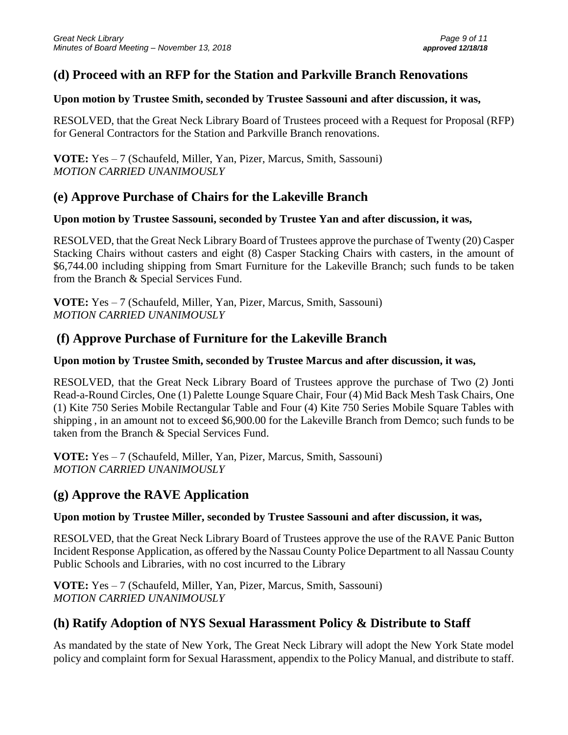## **(d) Proceed with an RFP for the Station and Parkville Branch Renovations**

### **Upon motion by Trustee Smith, seconded by Trustee Sassouni and after discussion, it was,**

RESOLVED, that the Great Neck Library Board of Trustees proceed with a Request for Proposal (RFP) for General Contractors for the Station and Parkville Branch renovations.

**VOTE:** Yes – 7 (Schaufeld, Miller, Yan, Pizer, Marcus, Smith, Sassouni) *MOTION CARRIED UNANIMOUSLY*

## **(e) Approve Purchase of Chairs for the Lakeville Branch**

### **Upon motion by Trustee Sassouni, seconded by Trustee Yan and after discussion, it was,**

RESOLVED, that the Great Neck Library Board of Trustees approve the purchase of Twenty (20) Casper Stacking Chairs without casters and eight (8) Casper Stacking Chairs with casters, in the amount of \$6,744.00 including shipping from Smart Furniture for the Lakeville Branch; such funds to be taken from the Branch & Special Services Fund.

**VOTE:** Yes – 7 (Schaufeld, Miller, Yan, Pizer, Marcus, Smith, Sassouni) *MOTION CARRIED UNANIMOUSLY*

## **(f) Approve Purchase of Furniture for the Lakeville Branch**

### **Upon motion by Trustee Smith, seconded by Trustee Marcus and after discussion, it was,**

RESOLVED, that the Great Neck Library Board of Trustees approve the purchase of Two (2) Jonti Read-a-Round Circles, One (1) Palette Lounge Square Chair, Four (4) Mid Back Mesh Task Chairs, One (1) Kite 750 Series Mobile Rectangular Table and Four (4) Kite 750 Series Mobile Square Tables with shipping , in an amount not to exceed \$6,900.00 for the Lakeville Branch from Demco; such funds to be taken from the Branch & Special Services Fund.

**VOTE:** Yes – 7 (Schaufeld, Miller, Yan, Pizer, Marcus, Smith, Sassouni) *MOTION CARRIED UNANIMOUSLY*

## **(g) Approve the RAVE Application**

### **Upon motion by Trustee Miller, seconded by Trustee Sassouni and after discussion, it was,**

RESOLVED, that the Great Neck Library Board of Trustees approve the use of the RAVE Panic Button Incident Response Application, as offered by the Nassau County Police Department to all Nassau County Public Schools and Libraries, with no cost incurred to the Library

**VOTE:** Yes – 7 (Schaufeld, Miller, Yan, Pizer, Marcus, Smith, Sassouni) *MOTION CARRIED UNANIMOUSLY*

# **(h) Ratify Adoption of NYS Sexual Harassment Policy & Distribute to Staff**

As mandated by the state of New York, The Great Neck Library will adopt the New York State model policy and complaint form for Sexual Harassment, appendix to the Policy Manual, and distribute to staff.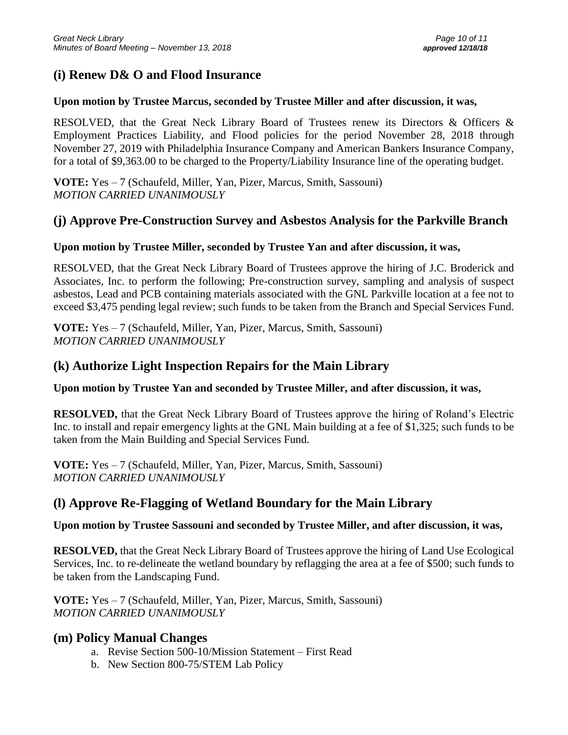# **(i) Renew D& O and Flood Insurance**

### **Upon motion by Trustee Marcus, seconded by Trustee Miller and after discussion, it was,**

RESOLVED, that the Great Neck Library Board of Trustees renew its Directors & Officers & Employment Practices Liability, and Flood policies for the period November 28, 2018 through November 27, 2019 with Philadelphia Insurance Company and American Bankers Insurance Company, for a total of \$9,363.00 to be charged to the Property/Liability Insurance line of the operating budget.

**VOTE:** Yes – 7 (Schaufeld, Miller, Yan, Pizer, Marcus, Smith, Sassouni) *MOTION CARRIED UNANIMOUSLY*

## **(j) Approve Pre-Construction Survey and Asbestos Analysis for the Parkville Branch**

### **Upon motion by Trustee Miller, seconded by Trustee Yan and after discussion, it was,**

RESOLVED, that the Great Neck Library Board of Trustees approve the hiring of J.C. Broderick and Associates, Inc. to perform the following; Pre-construction survey, sampling and analysis of suspect asbestos, Lead and PCB containing materials associated with the GNL Parkville location at a fee not to exceed \$3,475 pending legal review; such funds to be taken from the Branch and Special Services Fund.

**VOTE:** Yes – 7 (Schaufeld, Miller, Yan, Pizer, Marcus, Smith, Sassouni) *MOTION CARRIED UNANIMOUSLY*

## **(k) Authorize Light Inspection Repairs for the Main Library**

**Upon motion by Trustee Yan and seconded by Trustee Miller, and after discussion, it was,**

**RESOLVED,** that the Great Neck Library Board of Trustees approve the hiring of Roland's Electric Inc. to install and repair emergency lights at the GNL Main building at a fee of \$1,325; such funds to be taken from the Main Building and Special Services Fund.

**VOTE:** Yes – 7 (Schaufeld, Miller, Yan, Pizer, Marcus, Smith, Sassouni) *MOTION CARRIED UNANIMOUSLY*

# **(l) Approve Re-Flagging of Wetland Boundary for the Main Library**

### **Upon motion by Trustee Sassouni and seconded by Trustee Miller, and after discussion, it was,**

**RESOLVED,** that the Great Neck Library Board of Trustees approve the hiring of Land Use Ecological Services, Inc. to re-delineate the wetland boundary by reflagging the area at a fee of \$500; such funds to be taken from the Landscaping Fund.

**VOTE:** Yes – 7 (Schaufeld, Miller, Yan, Pizer, Marcus, Smith, Sassouni) *MOTION CARRIED UNANIMOUSLY*

## **(m) Policy Manual Changes**

- a. Revise Section 500-10/Mission Statement First Read
- b. New Section 800-75/STEM Lab Policy